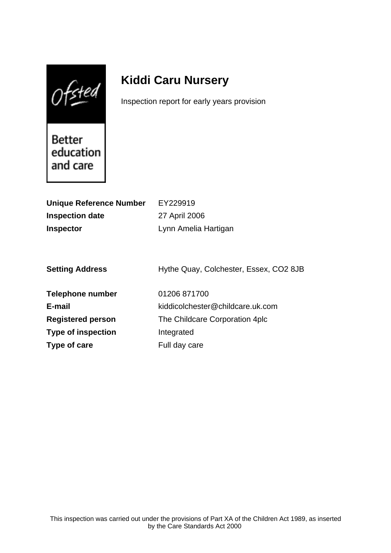$Of$ sted

# **Kiddi Caru Nursery**

Inspection report for early years provision

Better education and care

| <b>Unique Reference Number</b> | EY229919                               |
|--------------------------------|----------------------------------------|
| <b>Inspection date</b>         | 27 April 2006                          |
| <b>Inspector</b>               | Lynn Amelia Hartigan                   |
|                                |                                        |
|                                |                                        |
| <b>Setting Address</b>         | Hythe Quay, Colchester, Essex, CO2 8JB |
|                                |                                        |
| <b>Telephone number</b>        | 01206 871700                           |
| E-mail                         | kiddicolchester@childcare.uk.com       |
| <b>Registered person</b>       | The Childcare Corporation 4plc         |
| <b>Type of inspection</b>      | Integrated                             |
| Type of care                   | Full day care                          |
|                                |                                        |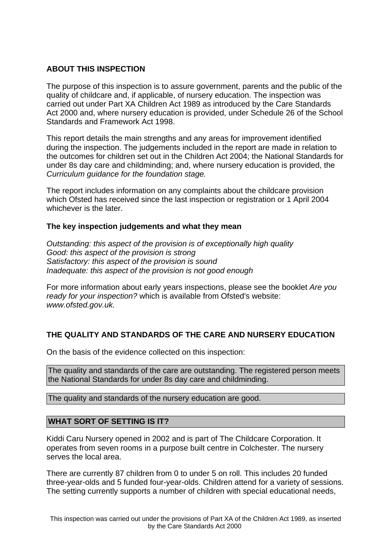# **ABOUT THIS INSPECTION**

The purpose of this inspection is to assure government, parents and the public of the quality of childcare and, if applicable, of nursery education. The inspection was carried out under Part XA Children Act 1989 as introduced by the Care Standards Act 2000 and, where nursery education is provided, under Schedule 26 of the School Standards and Framework Act 1998.

This report details the main strengths and any areas for improvement identified during the inspection. The judgements included in the report are made in relation to the outcomes for children set out in the Children Act 2004; the National Standards for under 8s day care and childminding; and, where nursery education is provided, the Curriculum guidance for the foundation stage.

The report includes information on any complaints about the childcare provision which Ofsted has received since the last inspection or registration or 1 April 2004 whichever is the later.

## **The key inspection judgements and what they mean**

Outstanding: this aspect of the provision is of exceptionally high quality Good: this aspect of the provision is strong Satisfactory: this aspect of the provision is sound Inadequate: this aspect of the provision is not good enough

For more information about early years inspections, please see the booklet Are you ready for your inspection? which is available from Ofsted's website: www.ofsted.gov.uk.

# **THE QUALITY AND STANDARDS OF THE CARE AND NURSERY EDUCATION**

On the basis of the evidence collected on this inspection:

The quality and standards of the care are outstanding. The registered person meets the National Standards for under 8s day care and childminding.

The quality and standards of the nursery education are good.

## **WHAT SORT OF SETTING IS IT?**

Kiddi Caru Nursery opened in 2002 and is part of The Childcare Corporation. It operates from seven rooms in a purpose built centre in Colchester. The nursery serves the local area.

There are currently 87 children from 0 to under 5 on roll. This includes 20 funded three-year-olds and 5 funded four-year-olds. Children attend for a variety of sessions. The setting currently supports a number of children with special educational needs,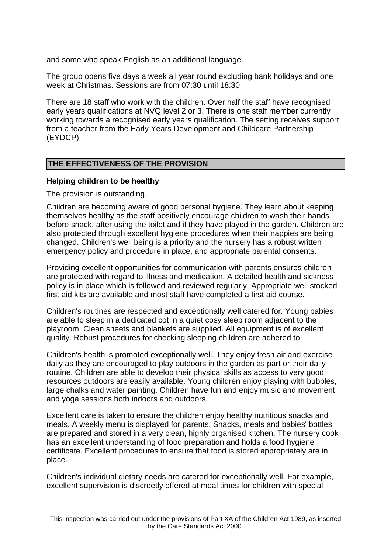and some who speak English as an additional language.

The group opens five days a week all year round excluding bank holidays and one week at Christmas. Sessions are from 07:30 until 18:30.

There are 18 staff who work with the children. Over half the staff have recognised early years qualifications at NVQ level 2 or 3. There is one staff member currently working towards a recognised early years qualification. The setting receives support from a teacher from the Early Years Development and Childcare Partnership (EYDCP).

## **THE EFFECTIVENESS OF THE PROVISION**

#### **Helping children to be healthy**

The provision is outstanding.

Children are becoming aware of good personal hygiene. They learn about keeping themselves healthy as the staff positively encourage children to wash their hands before snack, after using the toilet and if they have played in the garden. Children are also protected through excellent hygiene procedures when their nappies are being changed. Children's well being is a priority and the nursery has a robust written emergency policy and procedure in place, and appropriate parental consents.

Providing excellent opportunities for communication with parents ensures children are protected with regard to illness and medication. A detailed health and sickness policy is in place which is followed and reviewed regularly. Appropriate well stocked first aid kits are available and most staff have completed a first aid course.

Children's routines are respected and exceptionally well catered for. Young babies are able to sleep in a dedicated cot in a quiet cosy sleep room adjacent to the playroom. Clean sheets and blankets are supplied. All equipment is of excellent quality. Robust procedures for checking sleeping children are adhered to.

Children's health is promoted exceptionally well. They enjoy fresh air and exercise daily as they are encouraged to play outdoors in the garden as part or their daily routine. Children are able to develop their physical skills as access to very good resources outdoors are easily available. Young children enjoy playing with bubbles, large chalks and water painting. Children have fun and enjoy music and movement and yoga sessions both indoors and outdoors.

Excellent care is taken to ensure the children enjoy healthy nutritious snacks and meals. A weekly menu is displayed for parents. Snacks, meals and babies' bottles are prepared and stored in a very clean, highly organised kitchen. The nursery cook has an excellent understanding of food preparation and holds a food hygiene certificate. Excellent procedures to ensure that food is stored appropriately are in place.

Children's individual dietary needs are catered for exceptionally well. For example, excellent supervision is discreetly offered at meal times for children with special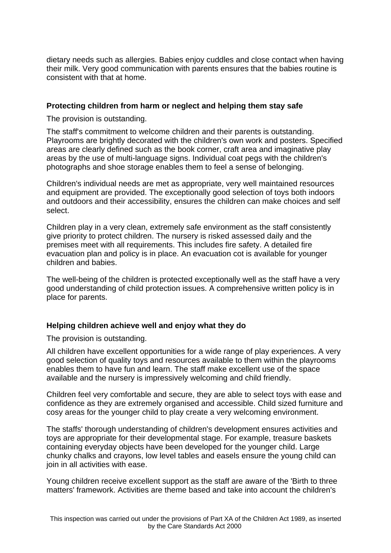dietary needs such as allergies. Babies enjoy cuddles and close contact when having their milk. Very good communication with parents ensures that the babies routine is consistent with that at home.

## **Protecting children from harm or neglect and helping them stay safe**

The provision is outstanding.

The staff's commitment to welcome children and their parents is outstanding. Playrooms are brightly decorated with the children's own work and posters. Specified areas are clearly defined such as the book corner, craft area and imaginative play areas by the use of multi-language signs. Individual coat pegs with the children's photographs and shoe storage enables them to feel a sense of belonging.

Children's individual needs are met as appropriate, very well maintained resources and equipment are provided. The exceptionally good selection of toys both indoors and outdoors and their accessibility, ensures the children can make choices and self select.

Children play in a very clean, extremely safe environment as the staff consistently give priority to protect children. The nursery is risked assessed daily and the premises meet with all requirements. This includes fire safety. A detailed fire evacuation plan and policy is in place. An evacuation cot is available for younger children and babies.

The well-being of the children is protected exceptionally well as the staff have a very good understanding of child protection issues. A comprehensive written policy is in place for parents.

## **Helping children achieve well and enjoy what they do**

The provision is outstanding.

All children have excellent opportunities for a wide range of play experiences. A very good selection of quality toys and resources available to them within the playrooms enables them to have fun and learn. The staff make excellent use of the space available and the nursery is impressively welcoming and child friendly.

Children feel very comfortable and secure, they are able to select toys with ease and confidence as they are extremely organised and accessible. Child sized furniture and cosy areas for the younger child to play create a very welcoming environment.

The staffs' thorough understanding of children's development ensures activities and toys are appropriate for their developmental stage. For example, treasure baskets containing everyday objects have been developed for the younger child. Large chunky chalks and crayons, low level tables and easels ensure the young child can join in all activities with ease.

Young children receive excellent support as the staff are aware of the 'Birth to three matters' framework. Activities are theme based and take into account the children's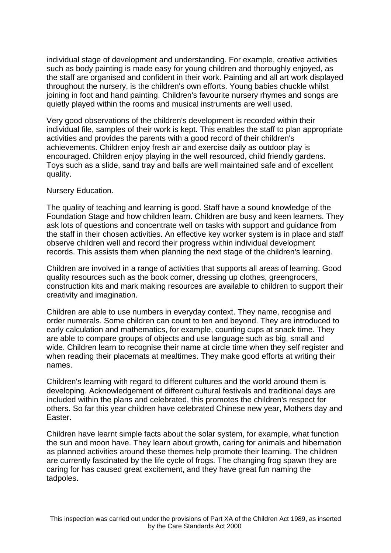individual stage of development and understanding. For example, creative activities such as body painting is made easy for young children and thoroughly enjoyed, as the staff are organised and confident in their work. Painting and all art work displayed throughout the nursery, is the children's own efforts. Young babies chuckle whilst joining in foot and hand painting. Children's favourite nursery rhymes and songs are quietly played within the rooms and musical instruments are well used.

Very good observations of the children's development is recorded within their individual file, samples of their work is kept. This enables the staff to plan appropriate activities and provides the parents with a good record of their children's achievements. Children enjoy fresh air and exercise daily as outdoor play is encouraged. Children enjoy playing in the well resourced, child friendly gardens. Toys such as a slide, sand tray and balls are well maintained safe and of excellent quality.

#### Nursery Education.

The quality of teaching and learning is good. Staff have a sound knowledge of the Foundation Stage and how children learn. Children are busy and keen learners. They ask lots of questions and concentrate well on tasks with support and guidance from the staff in their chosen activities. An effective key worker system is in place and staff observe children well and record their progress within individual development records. This assists them when planning the next stage of the children's learning.

Children are involved in a range of activities that supports all areas of learning. Good quality resources such as the book corner, dressing up clothes, greengrocers, construction kits and mark making resources are available to children to support their creativity and imagination.

Children are able to use numbers in everyday context. They name, recognise and order numerals. Some children can count to ten and beyond. They are introduced to early calculation and mathematics, for example, counting cups at snack time. They are able to compare groups of objects and use language such as big, small and wide. Children learn to recognise their name at circle time when they self register and when reading their placemats at mealtimes. They make good efforts at writing their names.

Children's learning with regard to different cultures and the world around them is developing. Acknowledgement of different cultural festivals and traditional days are included within the plans and celebrated, this promotes the children's respect for others. So far this year children have celebrated Chinese new year, Mothers day and Easter.

Children have learnt simple facts about the solar system, for example, what function the sun and moon have. They learn about growth, caring for animals and hibernation as planned activities around these themes help promote their learning. The children are currently fascinated by the life cycle of frogs. The changing frog spawn they are caring for has caused great excitement, and they have great fun naming the tadpoles.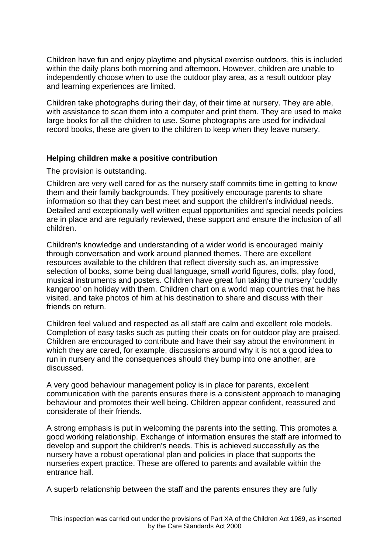Children have fun and enjoy playtime and physical exercise outdoors, this is included within the daily plans both morning and afternoon. However, children are unable to independently choose when to use the outdoor play area, as a result outdoor play and learning experiences are limited.

Children take photographs during their day, of their time at nursery. They are able, with assistance to scan them into a computer and print them. They are used to make large books for all the children to use. Some photographs are used for individual record books, these are given to the children to keep when they leave nursery.

## **Helping children make a positive contribution**

The provision is outstanding.

Children are very well cared for as the nursery staff commits time in getting to know them and their family backgrounds. They positively encourage parents to share information so that they can best meet and support the children's individual needs. Detailed and exceptionally well written equal opportunities and special needs policies are in place and are regularly reviewed, these support and ensure the inclusion of all children.

Children's knowledge and understanding of a wider world is encouraged mainly through conversation and work around planned themes. There are excellent resources available to the children that reflect diversity such as, an impressive selection of books, some being dual language, small world figures, dolls, play food, musical instruments and posters. Children have great fun taking the nursery 'cuddly kangaroo' on holiday with them. Children chart on a world map countries that he has visited, and take photos of him at his destination to share and discuss with their friends on return.

Children feel valued and respected as all staff are calm and excellent role models. Completion of easy tasks such as putting their coats on for outdoor play are praised. Children are encouraged to contribute and have their say about the environment in which they are cared, for example, discussions around why it is not a good idea to run in nursery and the consequences should they bump into one another, are discussed.

A very good behaviour management policy is in place for parents, excellent communication with the parents ensures there is a consistent approach to managing behaviour and promotes their well being. Children appear confident, reassured and considerate of their friends.

A strong emphasis is put in welcoming the parents into the setting. This promotes a good working relationship. Exchange of information ensures the staff are informed to develop and support the children's needs. This is achieved successfully as the nursery have a robust operational plan and policies in place that supports the nurseries expert practice. These are offered to parents and available within the entrance hall.

A superb relationship between the staff and the parents ensures they are fully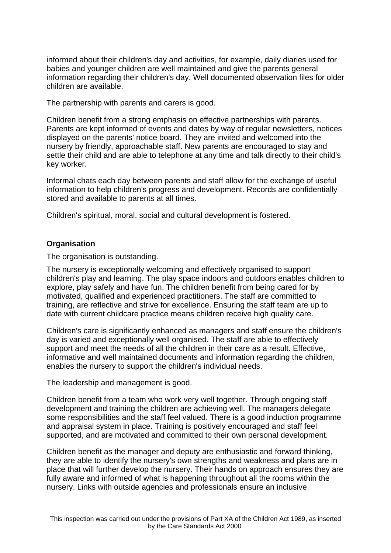informed about their children's day and activities, for example, daily diaries used for babies and younger children are well maintained and give the parents general information regarding their children's day. Well documented observation files for older children are available.

The partnership with parents and carers is good.

Children benefit from a strong emphasis on effective partnerships with parents. Parents are kept informed of events and dates by way of regular newsletters, notices displayed on the parents' notice board. They are invited and welcomed into the nursery by friendly, approachable staff. New parents are encouraged to stay and settle their child and are able to telephone at any time and talk directly to their child's key worker.

Informal chats each day between parents and staff allow for the exchange of useful information to help children's progress and development. Records are confidentially stored and available to parents at all times.

Children's spiritual, moral, social and cultural development is fostered.

# **Organisation**

The organisation is outstanding.

The nursery is exceptionally welcoming and effectively organised to support children's play and learning. The play space indoors and outdoors enables children to explore, play safely and have fun. The children benefit from being cared for by motivated, qualified and experienced practitioners. The staff are committed to training, are reflective and strive for excellence. Ensuring the staff team are up to date with current childcare practice means children receive high quality care.

Children's care is significantly enhanced as managers and staff ensure the children's day is varied and exceptionally well organised. The staff are able to effectively support and meet the needs of all the children in their care as a result. Effective, informative and well maintained documents and information regarding the children, enables the nursery to support the children's individual needs.

The leadership and management is good.

Children benefit from a team who work very well together. Through ongoing staff development and training the children are achieving well. The managers delegate some responsibilities and the staff feel valued. There is a good induction programme and appraisal system in place. Training is positively encouraged and staff feel supported, and are motivated and committed to their own personal development.

Children benefit as the manager and deputy are enthusiastic and forward thinking, they are able to identify the nursery's own strengths and weakness and plans are in place that will further develop the nursery. Their hands on approach ensures they are fully aware and informed of what is happening throughout all the rooms within the nursery. Links with outside agencies and professionals ensure an inclusive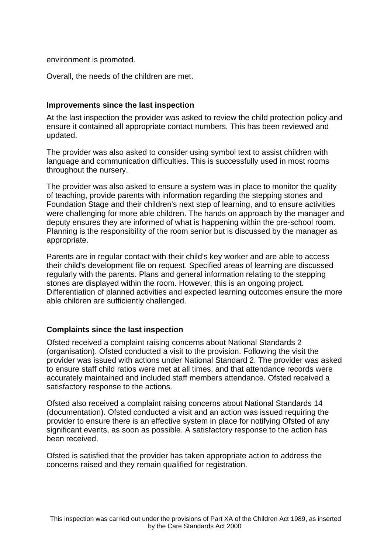environment is promoted.

Overall, the needs of the children are met.

## **Improvements since the last inspection**

At the last inspection the provider was asked to review the child protection policy and ensure it contained all appropriate contact numbers. This has been reviewed and updated.

The provider was also asked to consider using symbol text to assist children with language and communication difficulties. This is successfully used in most rooms throughout the nursery.

The provider was also asked to ensure a system was in place to monitor the quality of teaching, provide parents with information regarding the stepping stones and Foundation Stage and their children's next step of learning, and to ensure activities were challenging for more able children. The hands on approach by the manager and deputy ensures they are informed of what is happening within the pre-school room. Planning is the responsibility of the room senior but is discussed by the manager as appropriate.

Parents are in regular contact with their child's key worker and are able to access their child's development file on request. Specified areas of learning are discussed regularly with the parents. Plans and general information relating to the stepping stones are displayed within the room. However, this is an ongoing project. Differentiation of planned activities and expected learning outcomes ensure the more able children are sufficiently challenged.

## **Complaints since the last inspection**

Ofsted received a complaint raising concerns about National Standards 2 (organisation). Ofsted conducted a visit to the provision. Following the visit the provider was issued with actions under National Standard 2. The provider was asked to ensure staff child ratios were met at all times, and that attendance records were accurately maintained and included staff members attendance. Ofsted received a satisfactory response to the actions.

Ofsted also received a complaint raising concerns about National Standards 14 (documentation). Ofsted conducted a visit and an action was issued requiring the provider to ensure there is an effective system in place for notifying Ofsted of any significant events, as soon as possible. A satisfactory response to the action has been received.

Ofsted is satisfied that the provider has taken appropriate action to address the concerns raised and they remain qualified for registration.